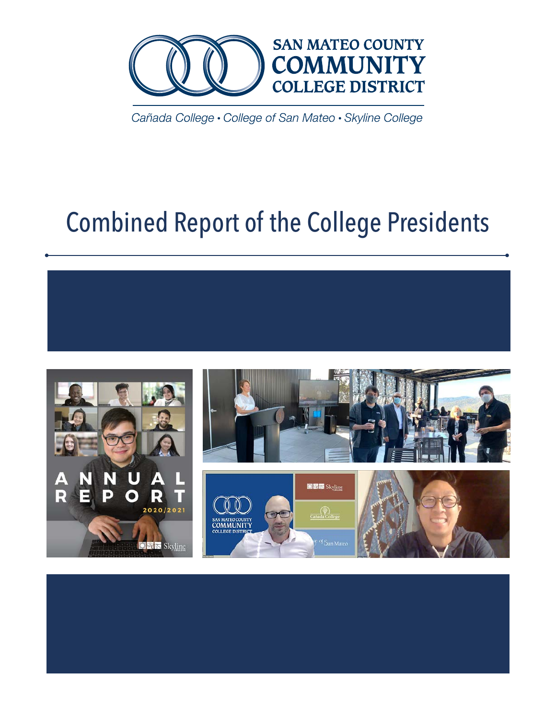

Cañada College · College of San Mateo · Skyline College

# Combined Report of the College Presidents

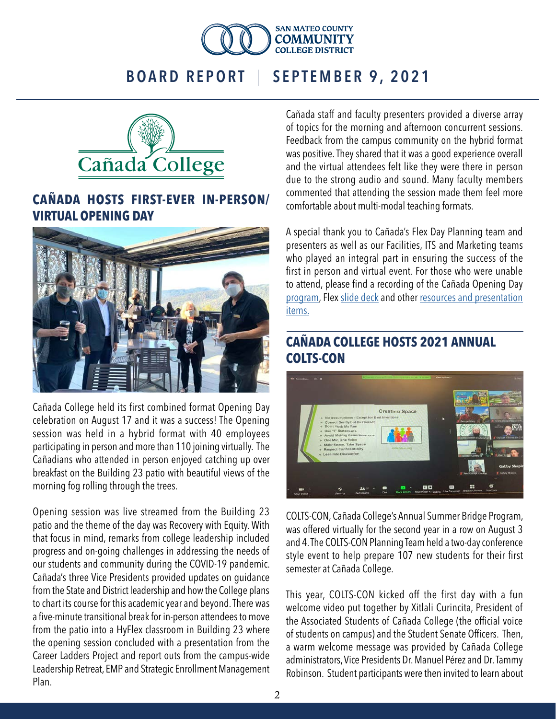



### **CAÑADA HOSTS FIRST-EVER IN-PERSON/ VIRTUAL OPENING DAY**



Cañada College held its first combined format Opening Day celebration on August 17 and it was a success! The Opening session was held in a hybrid format with 40 employees participating in person and more than 110 joining virtually. The Cañadians who attended in person enjoyed catching up over breakfast on the Building 23 patio with beautiful views of the morning fog rolling through the trees.

Opening session was live streamed from the Building 23 patio and the theme of the day was Recovery with Equity. With that focus in mind, remarks from college leadership included progress and on-going challenges in addressing the needs of our students and community during the COVID-19 pandemic. Cañada's three Vice Presidents provided updates on guidance from the State and District leadership and how the College plans to chart its course for this academic year and beyond. There was a five-minute transitional break for in-person attendees to move from the patio into a HyFlex classroom in Building 23 where the opening session concluded with a presentation from the Career Ladders Project and report outs from the campus-wide Leadership Retreat, EMP and Strategic Enrollment Management Plan.

Cañada staff and faculty presenters provided a diverse array of topics for the morning and afternoon concurrent sessions. Feedback from the campus community on the hybrid format was positive. They shared that it was a good experience overall and the virtual attendees felt like they were there in person due to the strong audio and sound. Many faculty members commented that attending the session made them feel more comfortable about multi-modal teaching formats.

A special thank you to Cañada's Flex Day Planning team and presenters as well as our Facilities, ITS and Marketing teams who played an integral part in ensuring the success of the first in person and virtual event. For those who were unable to attend, please find a recording of the Cañada Opening Day [program](https://us02web.zoom.us/signin?_x_zm_rtaid=0JK0_H9eTSqS-VefTi2xFw.1629414551478.e7446ab2733e784e87aff59a7ca925e0&_x_zm_rhtaid=531), Flex [slide deck](https://canadacollege.edu/professional-dev/2021/aug21materials/College%20Opening%20Session%20Slide%20Deck%208.17.21.pptx) and other [resources and presentation](https://canadacollege.edu/professional-dev/resourcesfromflex.php) [items.](https://canadacollege.edu/professional-dev/resourcesfromflex.php)

### **CAÑADA COLLEGE HOSTS 2021 ANNUAL COLTS-CON**



COLTS-CON, Cañada College's Annual Summer Bridge Program, was offered virtually for the second year in a row on August 3 and 4. The COLTS-CON Planning Team held a two-day conference style event to help prepare 107 new students for their first semester at Cañada College.

This year, COLTS-CON kicked off the first day with a fun welcome video put together by Xitlali Curincita, President of the Associated Students of Cañada College (the official voice of students on campus) and the Student Senate Officers. Then, a warm welcome message was provided by Cañada College administrators, Vice Presidents Dr. Manuel Pérez and Dr. Tammy Robinson. Student participants were then invited to learn about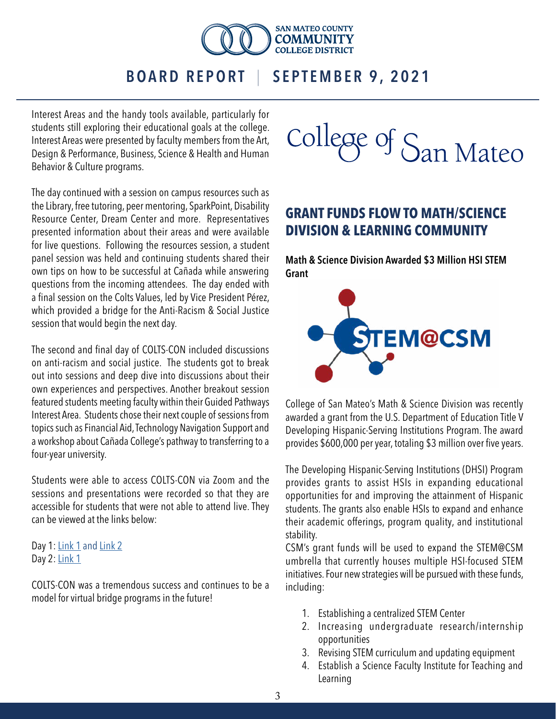

Interest Areas and the handy tools available, particularly for students still exploring their educational goals at the college. Interest Areas were presented by faculty members from the Art, Design & Performance, Business, Science & Health and Human Behavior & Culture programs.

The day continued with a session on campus resources such as the Library, free tutoring, peer mentoring, SparkPoint, Disability Resource Center, Dream Center and more. Representatives presented information about their areas and were available for live questions. Following the resources session, a student panel session was held and continuing students shared their own tips on how to be successful at Cañada while answering questions from the incoming attendees. The day ended with a final session on the Colts Values, led by Vice President Pérez, which provided a bridge for the Anti-Racism & Social Justice session that would begin the next day.

The second and final day of COLTS-CON included discussions on anti-racism and social justice. The students got to break out into sessions and deep dive into discussions about their own experiences and perspectives. Another breakout session featured students meeting faculty within their Guided Pathways Interest Area. Students chose their next couple of sessions from topics such as Financial Aid, Technology Navigation Support and a workshop about Cañada College's pathway to transferring to a four-year university.

Students were able to access COLTS-CON via Zoom and the sessions and presentations were recorded so that they are accessible for students that were not able to attend live. They can be viewed at the links below:

Day 1: [Link 1](https://smccd.hosted.panopto.com/Panopto/Pages/Viewer.aspx?id=a86bd834-82b3-409c-9fd6-ad7a00014b56) and [Link 2](https://smccd.hosted.panopto.com/Panopto/Pages/Viewer.aspx?id=077b7aac-a92a-400a-9073-ad7a00017358) Day 2: **[Link 1](https://smccd.hosted.panopto.com/Panopto/Pages/Viewer.aspx?id=a6f61adc-a467-4b37-83b1-ad7b0014f774)** 

COLTS-CON was a tremendous success and continues to be a model for virtual bridge programs in the future!



## **GRANT FUNDS FLOW TO MATH/SCIENCE DIVISION & LEARNING COMMUNITY**

Math & Science Division Awarded \$3 Million HSI STEM Grant



College of San Mateo's Math & Science Division was recently awarded a grant from the U.S. Department of Education Title V Developing Hispanic-Serving Institutions Program. The award provides \$600,000 per year, totaling \$3 million over five years.

The Developing Hispanic-Serving Institutions (DHSI) Program provides grants to assist HSIs in expanding educational opportunities for and improving the attainment of Hispanic students. The grants also enable HSIs to expand and enhance their academic offerings, program quality, and institutional stability.

CSM's grant funds will be used to expand the STEM@CSM umbrella that currently houses multiple HSI-focused STEM initiatives. Four new strategies will be pursued with these funds, including:

- 1. Establishing a centralized STEM Center
- 2. Increasing undergraduate research/internship opportunities
- 3. Revising STEM curriculum and updating equipment
- 4. Establish a Science Faculty Institute for Teaching and Learning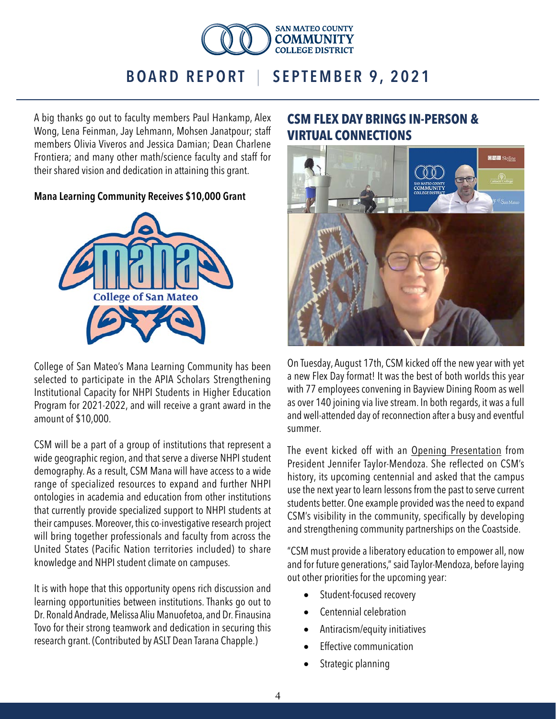

A big thanks go out to faculty members Paul Hankamp, Alex Wong, Lena Feinman, Jay Lehmann, Mohsen Janatpour; staff members Olivia Viveros and Jessica Damian; Dean Charlene Frontiera; and many other math/science faculty and staff for their shared vision and dedication in attaining this grant.

#### Mana Learning Community Receives \$10,000 Grant



College of San Mateo's Mana Learning Community has been selected to participate in the APIA Scholars Strengthening Institutional Capacity for NHPI Students in Higher Education Program for 2021-2022, and will receive a grant award in the amount of \$10,000.

CSM will be a part of a group of institutions that represent a wide geographic region, and that serve a diverse NHPI student demography. As a result, CSM Mana will have access to a wide range of specialized resources to expand and further NHPI ontologies in academia and education from other institutions that currently provide specialized support to NHPI students at their campuses. Moreover, this co-investigative research project will bring together professionals and faculty from across the United States (Pacific Nation territories included) to share knowledge and NHPI student climate on campuses.

It is with hope that this opportunity opens rich discussion and learning opportunities between institutions. Thanks go out to Dr. Ronald Andrade, Melissa Aliu Manuofetoa, and Dr. Finausina Tovo for their strong teamwork and dedication in securing this research grant. (Contributed by ASLT Dean Tarana Chapple.)

### **CSM FLEX DAY BRINGS IN-PERSON & VIRTUAL CONNECTIONS**



On Tuesday, August 17th, CSM kicked off the new year with yet a new Flex Day format! It was the best of both worlds this year with 77 employees convening in Bayview Dining Room as well as over 140 joining via live stream. In both regards, it was a full and well-attended day of reconnection after a busy and eventful summer.

The event kicked off with an [Opening Presentation](https://smccd.hosted.panopto.com/Panopto/Pages/Viewer.aspx?id=30689f11-ef29-4673-9be5-ad8e00327b8c) from President Jennifer Taylor-Mendoza. She reflected on CSM's history, its upcoming centennial and asked that the campus use the next year to learn lessons from the past to serve current students better. One example provided was the need to expand CSM's visibility in the community, specifically by developing and strengthening community partnerships on the Coastside.

"CSM must provide a liberatory education to empower all, now and for future generations," said Taylor-Mendoza, before laying out other priorities for the upcoming year:

- Student-focused recovery
- Centennial celebration
- Antiracism/equity initiatives
- **Effective communication**
- Strategic planning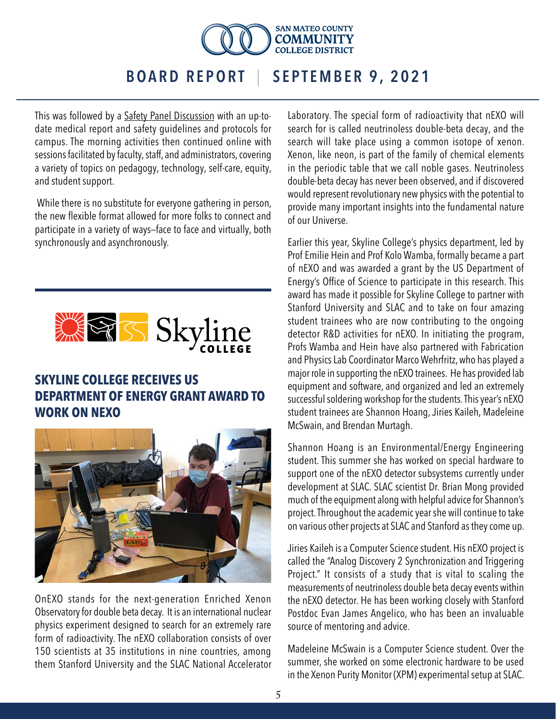

This was followed by a [Safety Panel Discussion](https://smccd.hosted.panopto.com/Panopto/Pages/Viewer.aspx?id=30689f11-ef29-4673-9be5-ad8e00327b8c&start=2070) with an up-todate medical report and safety guidelines and protocols for campus. The morning activities then continued online with sessions facilitated by faculty, staff, and administrators, covering a variety of topics on pedagogy, technology, self-care, equity, and student support.

 While there is no substitute for everyone gathering in person, the new flexible format allowed for more folks to connect and participate in a variety of ways—face to face and virtually, both synchronously and asynchronously.



### **SKYLINE COLLEGE RECEIVES US DEPARTMENT OF ENERGY GRANT AWARD TO WORK ON NEXO**



OnEXO stands for the next-generation Enriched Xenon Observatory for double beta decay. It is an international nuclear physics experiment designed to search for an extremely rare form of radioactivity. The nEXO collaboration consists of over 150 scientists at 35 institutions in nine countries, among them Stanford University and the SLAC National Accelerator Laboratory. The special form of radioactivity that nEXO will search for is called neutrinoless double-beta decay, and the search will take place using a common isotope of xenon. Xenon, like neon, is part of the family of chemical elements in the periodic table that we call noble gases. Neutrinoless double-beta decay has never been observed, and if discovered would represent revolutionary new physics with the potential to provide many important insights into the fundamental nature of our Universe.

Earlier this year, Skyline College's physics department, led by Prof Emilie Hein and Prof Kolo Wamba, formally became a part of nEXO and was awarded a grant by the US Department of Energy's Office of Science to participate in this research. This award has made it possible for Skyline College to partner with Stanford University and SLAC and to take on four amazing student trainees who are now contributing to the ongoing detector R&D activities for nEXO. In initiating the program, Profs Wamba and Hein have also partnered with Fabrication and Physics Lab Coordinator Marco Wehrfritz, who has played a major role in supporting the nEXO trainees. He has provided lab equipment and software, and organized and led an extremely successful soldering workshop for the students. This year's nEXO student trainees are Shannon Hoang, Jiries Kaileh, Madeleine McSwain, and Brendan Murtagh.

Shannon Hoang is an Environmental/Energy Engineering student. This summer she has worked on special hardware to support one of the nEXO detector subsystems currently under development at SLAC. SLAC scientist Dr. Brian Mong provided much of the equipment along with helpful advice for Shannon's project. Throughout the academic year she will continue to take on various other projects at SLAC and Stanford as they come up.

Jiries Kaileh is a Computer Science student. His nEXO project is called the "Analog Discovery 2 Synchronization and Triggering Project." It consists of a study that is vital to scaling the measurements of neutrinoless double beta decay events within the nEXO detector. He has been working closely with Stanford Postdoc Evan James Angelico, who has been an invaluable source of mentoring and advice.

Madeleine McSwain is a Computer Science student. Over the summer, she worked on some electronic hardware to be used in the Xenon Purity Monitor (XPM) experimental setup at SLAC.